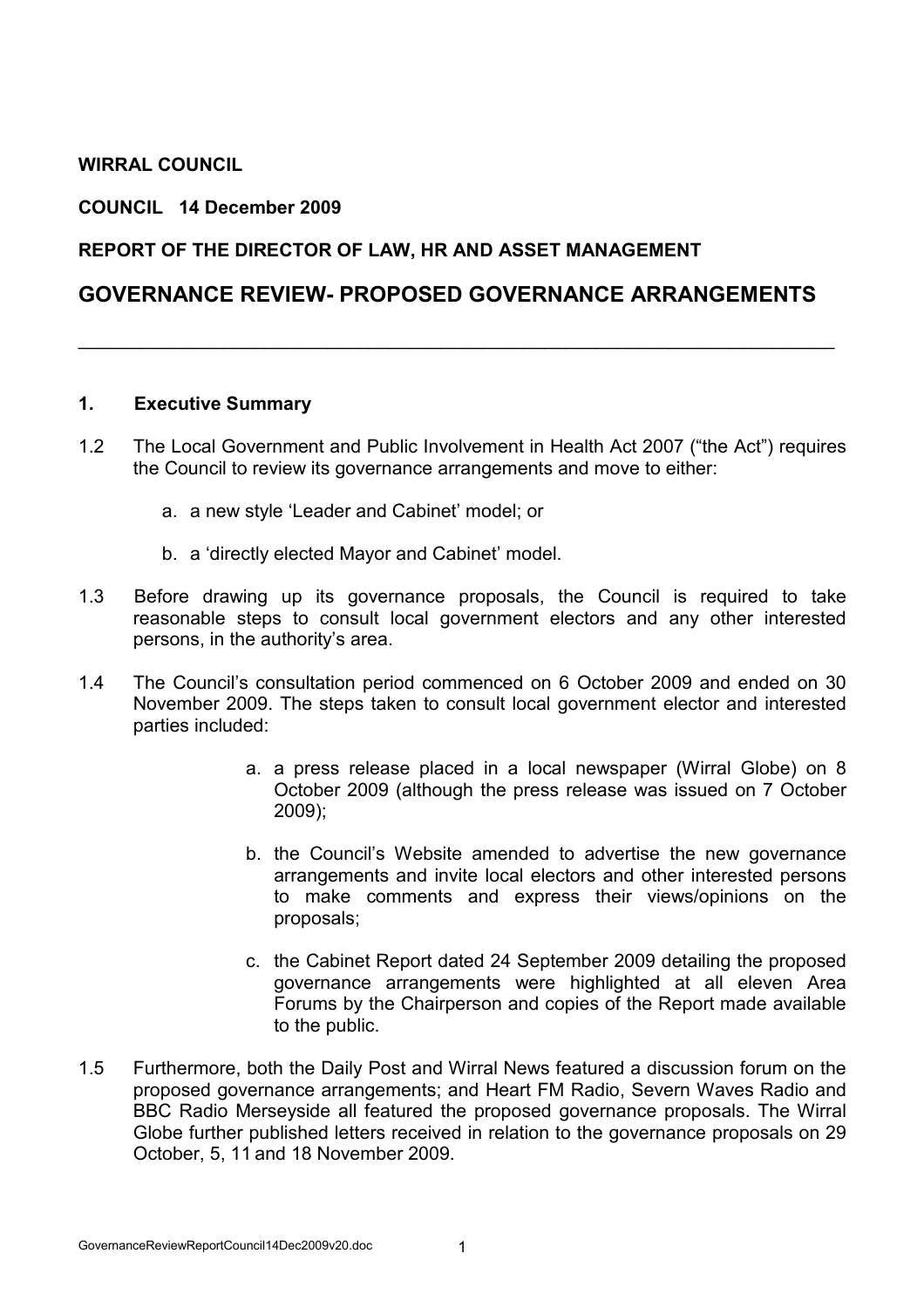## WIRRAL COUNCIL

#### COUNCIL 14 December 2009

### REPORT OF THE DIRECTOR OF LAW, HR AND ASSET MANAGEMENT

## GOVERNANCE REVIEW- PROPOSED GOVERNANCE ARRANGEMENTS

\_\_\_\_\_\_\_\_\_\_\_\_\_\_\_\_\_\_\_\_\_\_\_\_\_\_\_\_\_\_\_\_\_\_\_\_\_\_\_\_\_\_\_\_\_\_\_\_\_\_\_\_\_\_\_\_\_\_\_\_\_\_\_\_\_\_\_\_\_\_\_\_\_

#### 1. Executive Summary

- 1.2 The Local Government and Public Involvement in Health Act 2007 ("the Act") requires the Council to review its governance arrangements and move to either:
	- a. a new style 'Leader and Cabinet' model; or
	- b. a 'directly elected Mayor and Cabinet' model.
- 1.3 Before drawing up its governance proposals, the Council is required to take reasonable steps to consult local government electors and any other interested persons, in the authority's area.
- 1.4 The Council's consultation period commenced on 6 October 2009 and ended on 30 November 2009. The steps taken to consult local government elector and interested parties included:
	- a. a press release placed in a local newspaper (Wirral Globe) on 8 October 2009 (although the press release was issued on 7 October 2009);
	- b. the Council's Website amended to advertise the new governance arrangements and invite local electors and other interested persons to make comments and express their views/opinions on the proposals;
	- c. the Cabinet Report dated 24 September 2009 detailing the proposed governance arrangements were highlighted at all eleven Area Forums by the Chairperson and copies of the Report made available to the public.
- 1.5 Furthermore, both the Daily Post and Wirral News featured a discussion forum on the proposed governance arrangements; and Heart FM Radio, Severn Waves Radio and BBC Radio Merseyside all featured the proposed governance proposals. The Wirral Globe further published letters received in relation to the governance proposals on 29 October, 5, 11 and 18 November 2009.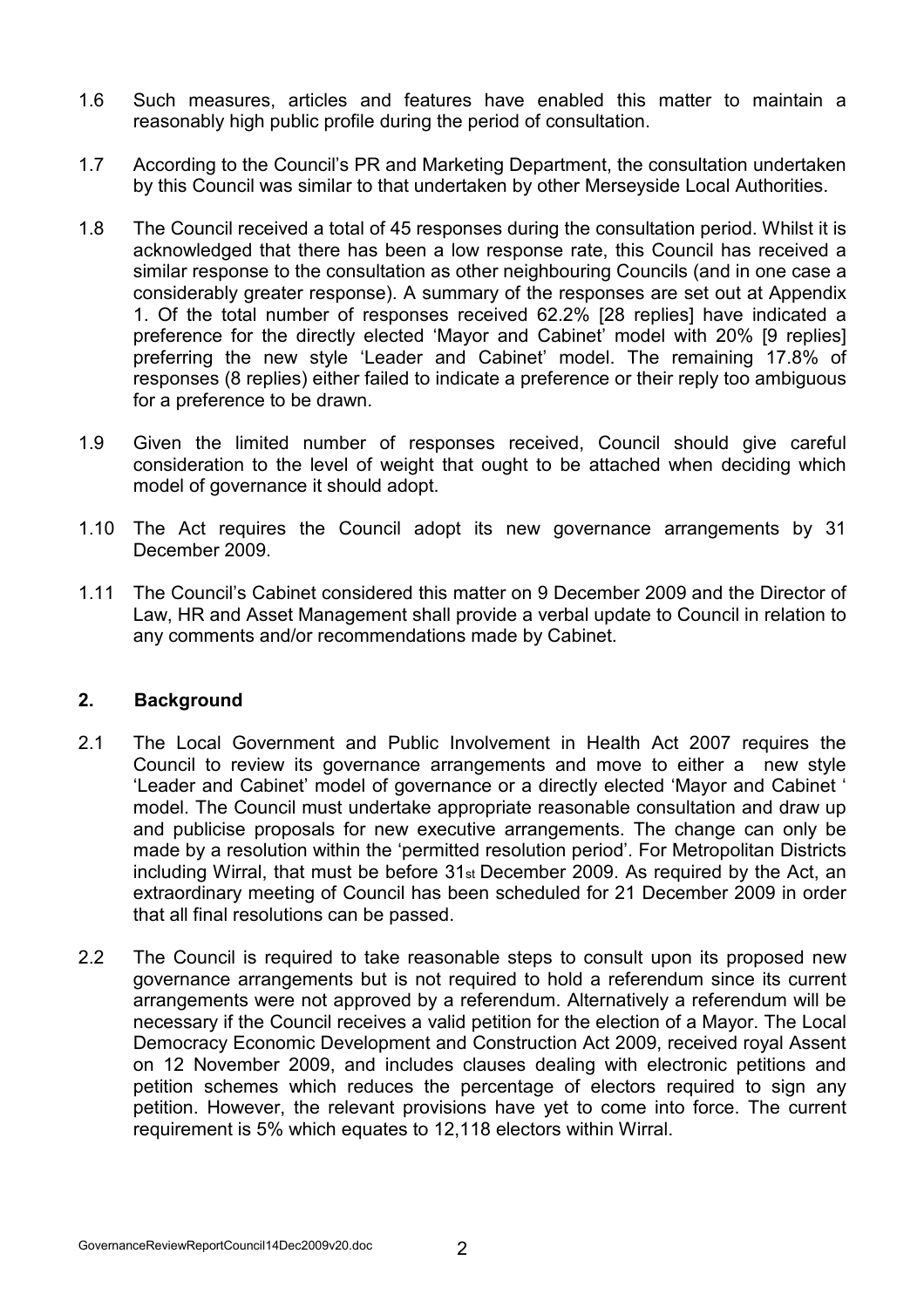- 1.6 Such measures, articles and features have enabled this matter to maintain a reasonably high public profile during the period of consultation.
- 1.7 According to the Council's PR and Marketing Department, the consultation undertaken by this Council was similar to that undertaken by other Merseyside Local Authorities.
- 1.8 The Council received a total of 45 responses during the consultation period. Whilst it is acknowledged that there has been a low response rate, this Council has received a similar response to the consultation as other neighbouring Councils (and in one case a considerably greater response). A summary of the responses are set out at Appendix 1. Of the total number of responses received 62.2% [28 replies] have indicated a preference for the directly elected 'Mayor and Cabinet' model with 20% [9 replies] preferring the new style 'Leader and Cabinet' model. The remaining 17.8% of responses (8 replies) either failed to indicate a preference or their reply too ambiguous for a preference to be drawn.
- 1.9 Given the limited number of responses received, Council should give careful consideration to the level of weight that ought to be attached when deciding which model of governance it should adopt.
- 1.10 The Act requires the Council adopt its new governance arrangements by 31 December 2009.
- 1.11 The Council's Cabinet considered this matter on 9 December 2009 and the Director of Law, HR and Asset Management shall provide a verbal update to Council in relation to any comments and/or recommendations made by Cabinet.

### 2. Background

- 2.1 The Local Government and Public Involvement in Health Act 2007 requires the Council to review its governance arrangements and move to either a new style 'Leader and Cabinet' model of governance or a directly elected 'Mayor and Cabinet ' model. The Council must undertake appropriate reasonable consultation and draw up and publicise proposals for new executive arrangements. The change can only be made by a resolution within the 'permitted resolution period'. For Metropolitan Districts including Wirral, that must be before 31st December 2009. As required by the Act, an extraordinary meeting of Council has been scheduled for 21 December 2009 in order that all final resolutions can be passed.
- 2.2 The Council is required to take reasonable steps to consult upon its proposed new governance arrangements but is not required to hold a referendum since its current arrangements were not approved by a referendum. Alternatively a referendum will be necessary if the Council receives a valid petition for the election of a Mayor. The Local Democracy Economic Development and Construction Act 2009, received royal Assent on 12 November 2009, and includes clauses dealing with electronic petitions and petition schemes which reduces the percentage of electors required to sign any petition. However, the relevant provisions have yet to come into force. The current requirement is 5% which equates to 12,118 electors within Wirral.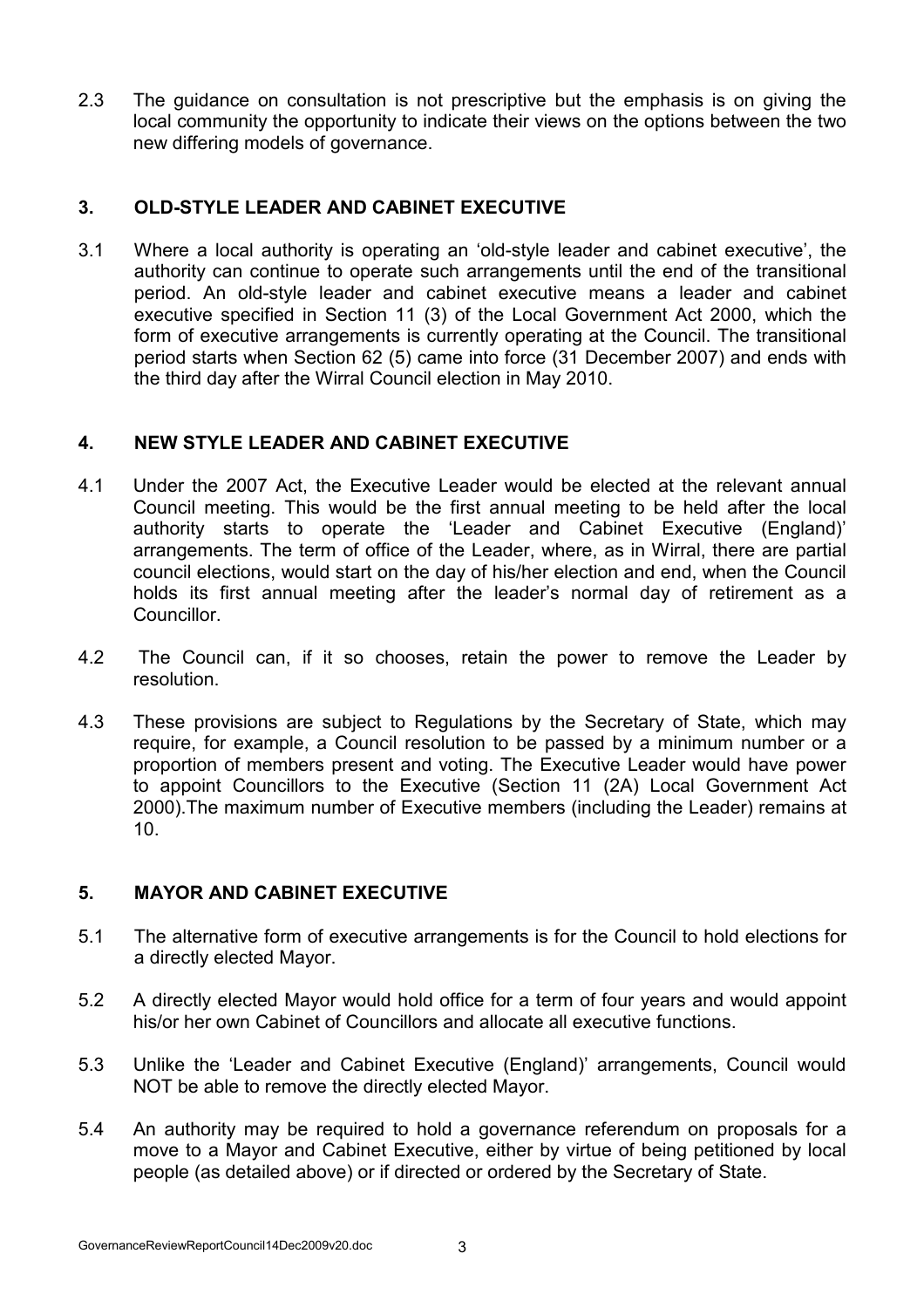2.3 The guidance on consultation is not prescriptive but the emphasis is on giving the local community the opportunity to indicate their views on the options between the two new differing models of governance.

## 3. OLD-STYLE LEADER AND CABINET EXECUTIVE

3.1 Where a local authority is operating an 'old-style leader and cabinet executive', the authority can continue to operate such arrangements until the end of the transitional period. An old-style leader and cabinet executive means a leader and cabinet executive specified in Section 11 (3) of the Local Government Act 2000, which the form of executive arrangements is currently operating at the Council. The transitional period starts when Section 62 (5) came into force (31 December 2007) and ends with the third day after the Wirral Council election in May 2010.

## 4. NEW STYLE LEADER AND CABINET EXECUTIVE

- 4.1 Under the 2007 Act, the Executive Leader would be elected at the relevant annual Council meeting. This would be the first annual meeting to be held after the local authority starts to operate the 'Leader and Cabinet Executive (England)' arrangements. The term of office of the Leader, where, as in Wirral, there are partial council elections, would start on the day of his/her election and end, when the Council holds its first annual meeting after the leader's normal day of retirement as a Councillor.
- 4.2 The Council can, if it so chooses, retain the power to remove the Leader by resolution.
- 4.3 These provisions are subject to Regulations by the Secretary of State, which may require, for example, a Council resolution to be passed by a minimum number or a proportion of members present and voting. The Executive Leader would have power to appoint Councillors to the Executive (Section 11 (2A) Local Government Act 2000).The maximum number of Executive members (including the Leader) remains at 10.

# 5. MAYOR AND CABINET EXECUTIVE

- 5.1 The alternative form of executive arrangements is for the Council to hold elections for a directly elected Mayor.
- 5.2 A directly elected Mayor would hold office for a term of four years and would appoint his/or her own Cabinet of Councillors and allocate all executive functions.
- 5.3 Unlike the 'Leader and Cabinet Executive (England)' arrangements, Council would NOT be able to remove the directly elected Mayor.
- 5.4 An authority may be required to hold a governance referendum on proposals for a move to a Mayor and Cabinet Executive, either by virtue of being petitioned by local people (as detailed above) or if directed or ordered by the Secretary of State.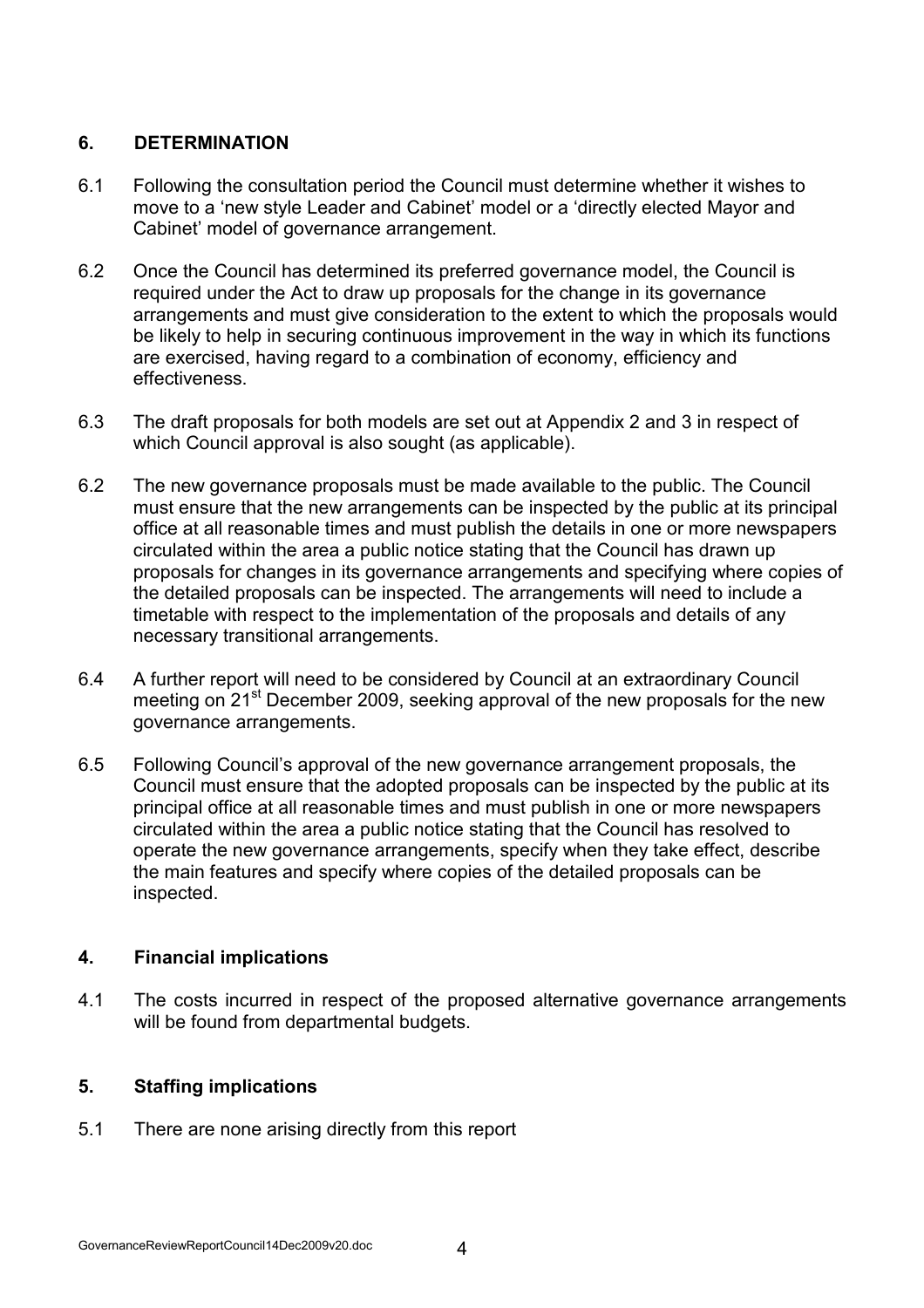## 6. DETERMINATION

- 6.1 Following the consultation period the Council must determine whether it wishes to move to a 'new style Leader and Cabinet' model or a 'directly elected Mayor and Cabinet' model of governance arrangement.
- 6.2 Once the Council has determined its preferred governance model, the Council is required under the Act to draw up proposals for the change in its governance arrangements and must give consideration to the extent to which the proposals would be likely to help in securing continuous improvement in the way in which its functions are exercised, having regard to a combination of economy, efficiency and effectiveness.
- 6.3 The draft proposals for both models are set out at Appendix 2 and 3 in respect of which Council approval is also sought (as applicable).
- 6.2 The new governance proposals must be made available to the public. The Council must ensure that the new arrangements can be inspected by the public at its principal office at all reasonable times and must publish the details in one or more newspapers circulated within the area a public notice stating that the Council has drawn up proposals for changes in its governance arrangements and specifying where copies of the detailed proposals can be inspected. The arrangements will need to include a timetable with respect to the implementation of the proposals and details of any necessary transitional arrangements.
- 6.4 A further report will need to be considered by Council at an extraordinary Council meeting on 21<sup>st</sup> December 2009, seeking approval of the new proposals for the new governance arrangements.
- 6.5 Following Council's approval of the new governance arrangement proposals, the Council must ensure that the adopted proposals can be inspected by the public at its principal office at all reasonable times and must publish in one or more newspapers circulated within the area a public notice stating that the Council has resolved to operate the new governance arrangements, specify when they take effect, describe the main features and specify where copies of the detailed proposals can be inspected.

## 4. Financial implications

4.1 The costs incurred in respect of the proposed alternative governance arrangements will be found from departmental budgets.

# 5. Staffing implications

5.1 There are none arising directly from this report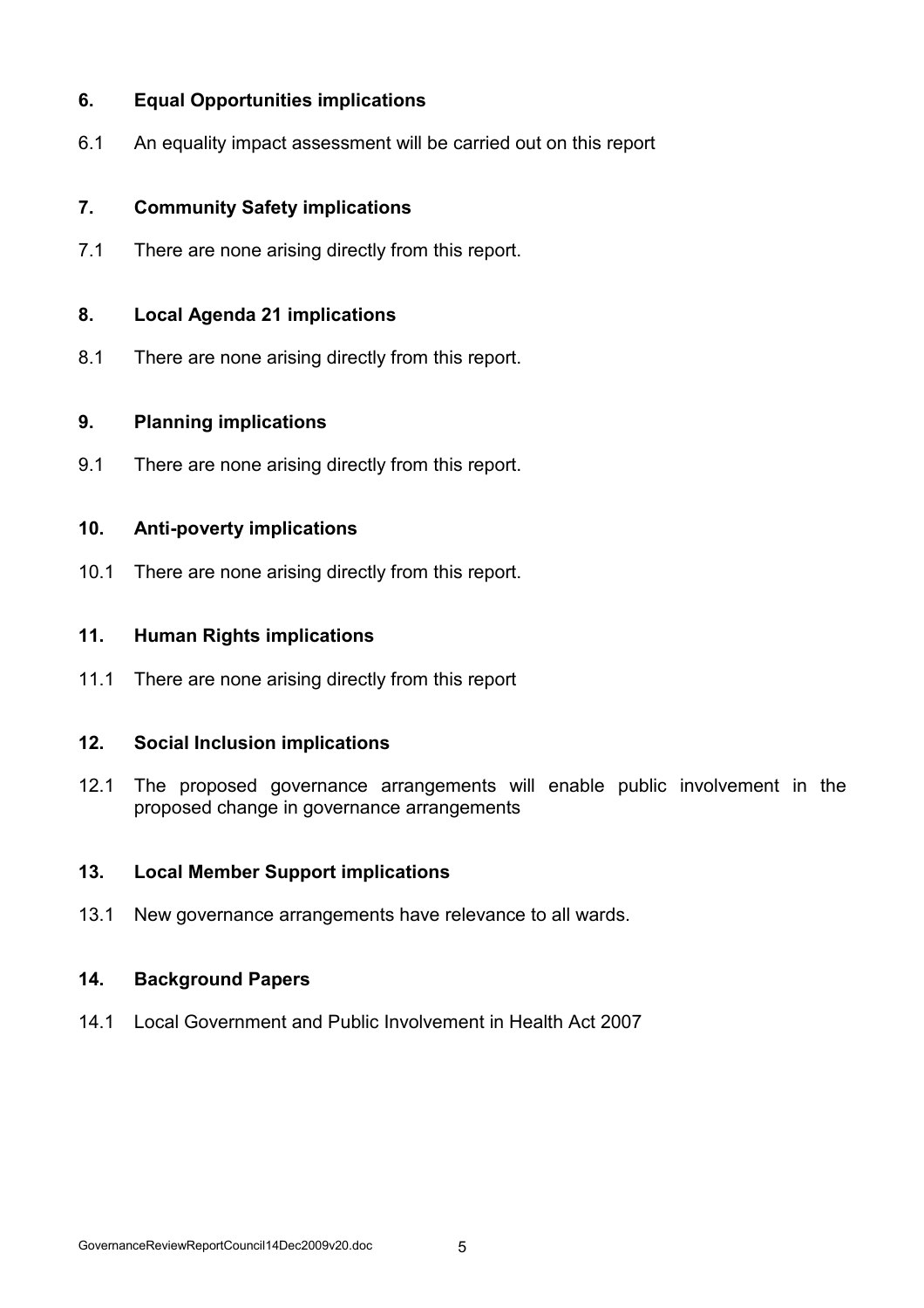## 6. Equal Opportunities implications

6.1 An equality impact assessment will be carried out on this report

## 7. Community Safety implications

7.1 There are none arising directly from this report.

## 8. Local Agenda 21 implications

8.1 There are none arising directly from this report.

## 9. Planning implications

9.1 There are none arising directly from this report.

## 10. Anti-poverty implications

10.1 There are none arising directly from this report.

## 11. Human Rights implications

11.1 There are none arising directly from this report

## 12. Social Inclusion implications

12.1 The proposed governance arrangements will enable public involvement in the proposed change in governance arrangements

## 13. Local Member Support implications

13.1 New governance arrangements have relevance to all wards.

### 14. Background Papers

14.1 Local Government and Public Involvement in Health Act 2007